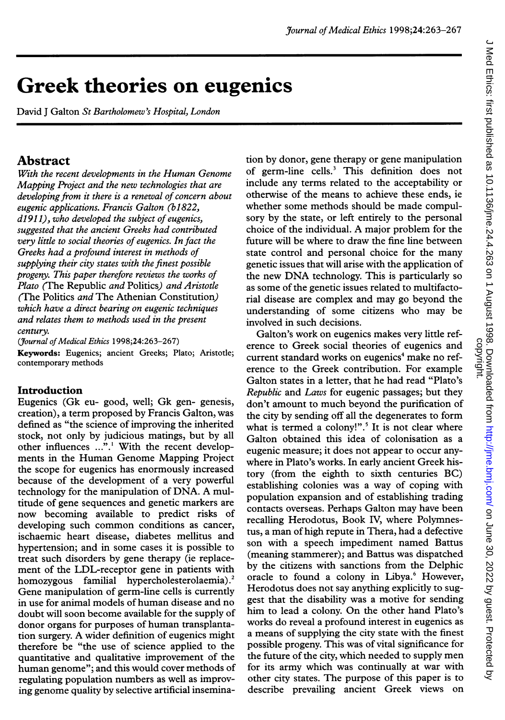# Greek theories on eugenics

David J Galton St Bartholomew's Hospital, London

# Abstract

With the recent developments in the Human Genome Mapping Project and the new technologies that are developing from it there is a renewal of concern about eugenic applications. Francis Galton (b1822,  $d1911$ ), who developed the subject of eugenics, suggested that the ancient Greeks had contributed very little to social theories of eugenics. In fact the Greeks had a profound interest in methods of supplying their city states with the finest possible progeny. This paper therefore reviews the works of Plato (The Republic and Politics) and Aristotle (The Politics and The Athenian Constitution) which have a direct bearing on eugenic techniques and relates them to methods used in the present century.

('Fournal of Medical Ethics 1998;24:263-267)

Keywords: Eugenics; ancient Greeks; Plato; Aristotle; contemporary methods

# Introduction

Eugenics (Gk eu- good, well; Gk gen- genesis, creation), a term proposed by Francis Galton, was defined as "the science of improving the inherited stock, not only by judicious matings, but by all other influences ...".<sup>1</sup> With the recent developments in the Human Genome Mapping Project the scope for eugenics has enormously increased because of the development of a very powerful technology for the manipulation of DNA. A multitude of gene sequences and genetic markers are now becoming available to predict risks of developing such common conditions as cancer, ischaemic heart disease, diabetes mellitus and hypertension; and in some cases it is possible to treat such disorders by gene therapy (ie replacement of the LDL-receptor gene in patients with homozygous familial hypercholesterolaemia).<sup>2</sup> Gene manipulation of germ-line cells is currently in use for animal models of human disease and no doubt will soon become available for the supply of donor organs for purposes of human transplantation surgery. A wider definition of eugenics might therefore be "the use of science applied to the quantitative and qualitative improvement of the human genome"; and this would cover methods of regulating population numbers as well as improving genome quality by selective artificial insemination by donor, gene therapy or gene manipulation of germ-line cells.3 This definition does not include any terms related to the acceptability or otherwise of the means to achieve these ends, ie whether some methods should be made compulsory by the state, or left entirely to the personal choice of the individual. A major problem for the future will be where to draw the fine line between state control and personal choice for the many genetic issues that will arise with the application of the new DNA technology. This is particularly so as some of the genetic issues related to multifactorial disease are complex and may go beyond the understanding of some citizens who may be involved in such decisions.

Galton's work on eugenics makes very little reference to Greek social theories of eugenics and current standard works on eugenics<sup>4</sup> make no reference to the Greek contribution. For example Galton states in a letter, that he had read "Plato's Republic and Laws for eugenic passages; but they don't amount to much beyond the purification of the city by sending off all the degenerates to form what is termed a colony!".<sup>5</sup> It is not clear where Galton obtained this idea of colonisation as a eugenic measure; it does not appear to occur anywhere in Plato's works. In early ancient Greek history (from the eighth to sixth centuries BC) establishing colonies was a way of coping with population expansion and of establishing trading contacts overseas. Perhaps Galton may have been recalling Herodotus, Book IV, where Polymnestus, <sup>a</sup> man of high repute in Thera, had <sup>a</sup> defective son with <sup>a</sup> speech impediment named Battus (meaning stammerer); and Battus was dispatched by the citizens with sanctions from the Delphic oracle to found a colony in Libya.<sup>6</sup> However, Herodotus does not say anything explicitly to suggest that the disability was a motive for sending him to lead <sup>a</sup> colony. On the other hand Plato's works do reveal a profound interest in eugenics as a means of supplying the city state with the finest possible progeny. This was of vital significance for the future of the city, which needed to supply men for its army which was continually at war with other city states. The purpose of this paper is to describe prevailing ancient Greek views on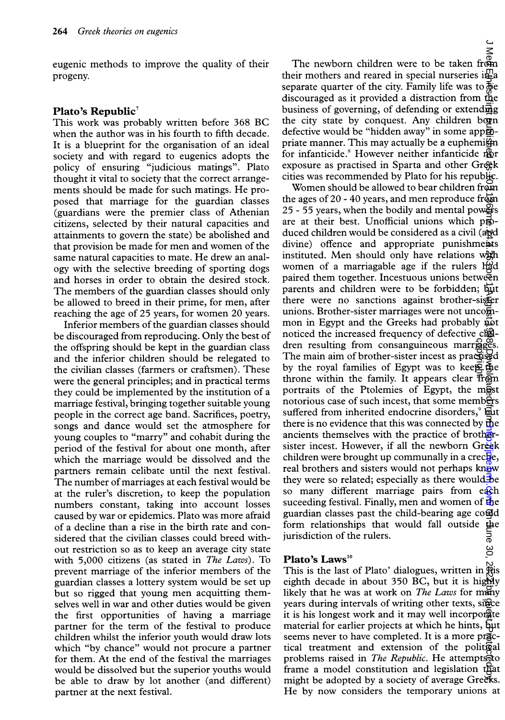eugenic methods to improve the quality of their progeny.

### Plato's Republic'

This work was probably written before 368 BC when the author was in his fourth to fifth decade. It is a blueprint for the organisation of an ideal society and with regard to eugenics adopts the policy of ensuring "judicious matings". Plato thought it vital to society that the correct arrangements should be made for such matings. He proposed that marriage for the guardian classes (guardians were the premier class of Athenian citizens, selected by their natural capacities and attainments to govern the state) be abolished and that provision be made for men and women of the same natural capacities to mate. He drew an analogy with the selective breeding of sporting dogs and horses in order to obtain the desired stock. The members of the guardian classes should only be allowed to breed in their prime, for men, after reaching the age of 25 years, for women 20 years.

Inferior members of the guardian classes should be discouraged from reproducing. Only the best of the offspring should be kept in the guardian class and the inferior children should be relegated to the civilian classes (farmers or craftsmen). These were the general principles; and in practical terms they could be implemented by the institution of a marriage festival, bringing together suitable young people in the correct age band. Sacrifices, poetry, songs and dance would set the atmosphere for young couples to "marry" and cohabit during the period of the festival for about one month, after which the marriage would be dissolved and the partners remain celibate until the next festival. The number of marriages at each festival would be at the ruler's discretion, to keep the population numbers constant, taking into account losses caused by war or epidemics. Plato was more afraid of a decline than a rise in the birth rate and considered that the civilian classes could breed without restriction so as to keep an average city state with 5,000 citizens (as stated in The Laws). To prevent marriage of the inferior members of the guardian classes a lottery system would be set up but so rigged that young men acquitting themselves well in war and other duties would be given the first opportunities of having a marriage partner for the term of the festival to produce children whilst the inferior youth would draw lots which "by chance" would not procure a partner for them. At the end of the festival the marriages would be dissolved but the superior youths would be able to draw by lot another (and different) partner at the next festival.

The newborn children were to be taken from their mothers and reared in special nurseries in  $\mathbb{R}^n$ separate quarter of the city. Family life was to  $\overline{\phi}$  e discouraged as it provided a distraction from the business of governing, of defending or extending the city state by conquest. Any children born defective would be "hidden away" in some app $\bar{p}$ priate manner. This may actually be a euphemi $\frac{2}{3}$ for infanticide.<sup>8</sup> However neither infanticide r $r$ exposure as practised in Sparta and other Greek cities was recommended by Plato for his republic.

Women should be allowed to bear children from the ages of 20 - 40 years, and men reproduce from 25 - 55 years, when the bodily and mental powers are at their best. Unofficial unions which  $p\bar{p}$ duced children would be considered as a civil (and divine) offence and appropriate punishments instituted. Men should only have relations with women of a marriagable age if the rulers had paired them together. Incestuous unions between parents and children were to be forbidden; but there were no sanctions against brother-sister unions. Brother-sister marriages were not unco $\overline{\mathbf{B}}$ mon in Egypt and the Greeks had probably not noticed the increased frequency of defective chadren resulting from consanguineous marriages. The main aim of brother-sister incest as practised by the royal families of Egypt was to keep the throne within the family. It appears clear  $\hat{\mathbf{T}}$ portraits of the Ptolemies of Egypt, the most notorious case of such incest, that some members suffered from inherited endocrine disorders,<sup>9</sup> but there is no evidence that this was connected by the ancients themselves with the practice of brothersister incest. However, if all the newborn Greek children were brought up communally in a creche, real brothers and sisters would not perhaps know they were so related; especially as there would  $\mathbb{B}e$ so many different marriage pairs from each suceeding festival. Finally, men and women of  $\vec{\Phi}$ e guardian classes past the child-bearing age coodd form relationships that would fall outside the jurisdiction of the rulers. Thenewborn children were to be taken from<br>heir mothers and reared in special nurseries in the compari-syntem quere of the city. Family life was to the<br>subseming sof coveraring, of defending or extending<br>the termore This

#### Plato's Laws<sup>10</sup>

This is the last of Plato' dialogues, written in  $\hat{\mathbb{R}}$  is eighth decade in about 350 BC, but it is highly likely that he was at work on *The Laws* for many years during intervals of writing other texts, since it is his longest work and it may well incorporate material for earlier projects at which he hints, but seems never to have completed. It is a more practical treatment and extension of the political problems raised in The Republic. He attempts to frame a model constitution and legislation that might be adopted by a society of average Greeks.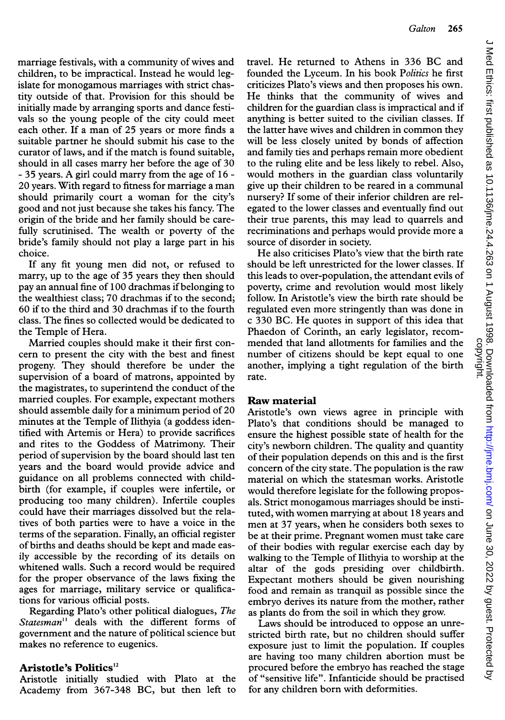$\epsilon$ 

marriage festivals, with a community of wives and children, to be impractical. Instead he would legislate for monogamous marriages with strict chastity outside of that. Provision for this should be initially made by arranging sports and dance festivals so the young people of the city could meet each other. If <sup>a</sup> man of 25 years or more finds <sup>a</sup> suitable partner he should submit his case to the curator of laws, and if the match is found suitable, should in all cases marry her before the age of 30 - <sup>35</sup> years. A girl could marry from the age of <sup>16</sup> - 20 years. With regard to fitness for marriage <sup>a</sup> man should primarily court <sup>a</sup> woman for the city's good and not just because she takes his fancy. The origin of the bride and her family should be carefully scrutinised. The wealth or poverty of the bride's family should not play a large part in his choice.

If any fit young men did not, or refused to marry, up to the age of 35 years they then should pay an annual fine of 100 drachmas if belonging to the wealthiest class; 70 drachmas if to the second; 60 if to the third and 30 drachmas if to the fourth class. The fines so collected would be dedicated to the Temple of Hera.

Married couples should make it their first concern to present the city with the best and finest progeny. They should therefore be under the supervision of a board of matrons, appointed by the magistrates, to superintend the conduct of the married couples. For example, expectant mothers should assemble daily for <sup>a</sup> minimum period of 20 minutes at the Temple of Ilithyia (a goddess identified with Artemis or Hera) to provide sacrifices and rites to the Goddess of Matrimony. Their period of supervision by the board should last ten years and the board would provide advice and guidance on all problems connected with childbirth (for example, if couples were infertile, or producing too many children). Infertile couples could have their marriages dissolved but the relatives of both parties were to have a voice in the terms of the separation. Finally, an official register of births and deaths should be kept and made easily accessible by the recording of its details on whitened walls. Such a record would be required for the proper observance of the laws fixing the ages for marriage, military service or qualifications for various official posts.

Regarding Plato's other political dialogues, The Statesman<sup>11</sup> deals with the different forms of government and the nature of political science but makes no reference to eugenics.

# Aristotle's Politics<sup>12</sup>

Aristotle initially studied with Plato at the Academy from 367-348 BC, but then left to

travel. He returned to Athens in 336 BC and founded the Lyceum. In his book Politics he first criticizes Plato's views and then proposes his own. He thinks that the community of wives and children for the guardian class is impractical and if anything is better suited to the civilian classes. If the latter have wives and children in common they will be less closely united by bonds of affection and family ties and perhaps remain more obedient to the ruling elite and be less likely to rebel. Also, would mothers in the guardian class voluntarily give up their children to be reared in a communal nursery? If some of their inferior children are relegated to the lower classes and eventually find out their true parents, this may lead to quarrels and recriminations and perhaps would provide more a source of disorder in society.

He also criticises Plato's view that the birth rate should be left unrestricted for the lower classes. If this leads to over-population, the attendant evils of poverty, crime and revolution would most likely follow. In Aristotle's view the birth rate should be regulated even more stringently than was done in <sup>c</sup> 330 BC. He quotes in support of this idea that Phaedon of Corinth, an early legislator, recommended that land allotments for families and the number of citizens should be kept equal to one another, implying a tight regulation of the birth rate.

#### Raw material

Aristotle's own views agree in principle with Plato's that conditions should be managed to ensure the highest possible state of health for the city's newborn children. The quality and quantity of their population depends on this and is the first concern of the city state. The population is the raw material on which the statesman works. Aristotle would therefore legislate for the following proposals. Strict monogamous marriages should be instituted, with women marrying at about 18 years and men at 37 years, when he considers both sexes to be at their prime. Pregnant women must take care of their bodies with regular exercise each day by walking to the Temple of Ilithyia to worship at the altar of the gods presiding over childbirth. Expectant mothers should be given nourishing food and remain as tranquil as possible since the embryo derives its nature from the mother, rather as plants do from the soil in which they grow.

Laws should be introduced to oppose an unrestricted birth rate, but no children should suffer exposure just to limit the population. If couples are having too many children abortion must be procured before the embryo has reached the stage of "sensitive life". Infanticide should be practised for any children born with deformities.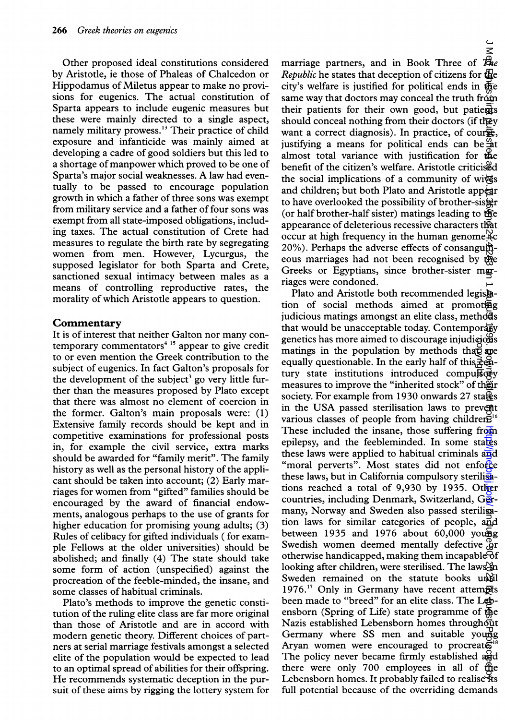Other proposed ideal constitutions considered by Aristotle, ie those of Phaleas of Chalcedon or Hippodamus of Miletus appear to make no provisions for eugenics. The actual constitution of Sparta appears to include eugenic measures but these were mainly directed to a single aspect, namely military prowess.<sup>13</sup> Their practice of child exposure and infanticide was mainly aimed at developing <sup>a</sup> cadre of good soldiers but this led to a shortage of manpower which proved to be one of Sparta's major social weaknesses. A law had eventually to be passed to encourage population growth in which a father of three sons was exempt from military service and a father of four sons was exempt from all state-imposed obligations, including taxes. The actual constitution of Crete had measures to regulate the birth rate by segregating women from men. However, Lycurgus, the supposed legislator for both Sparta and Crete, sanctioned sexual intimacy between males as a means of controlling reproductive rates, the morality of which Aristotle appears to question.

# **Commentary**

It is of interest that neither Galton nor many contemporary commentators<sup> $415$ </sup> appear to give credit to or even mention the Greek contribution to the subject of eugenics. In fact Galton's proposals for the development of the subject<sup>3</sup> go very little further than the measures proposed by Plato except that there was almost no element of coercion in the former. Galton's main proposals were: (1) Extensive family records should be kept and in competitive examinations for professional posts in, for example the civil service, extra marks should be awarded for "family merit". The family history as well as the personal history of the applicant should be taken into account; (2) Early marriages for women from "gifted" families should be encouraged by the award of financial endowments, analogous perhaps to the use of grants for higher education for promising young adults; (3) Rules of celibacy for gifted individuals ( for example Fellows at the older universities) should be abolished; and finally (4) The state should take some form of action (unspecified) against the procreation of the feeble-minded, the insane, and some classes of habitual criminals.

Plato's methods to improve the genetic constitution of the ruling elite class are far more original than those of Aristotle and are in accord with modern genetic theory. Different choices of partners at serial marriage festivals amongst a selected elite of the population would be expected to lead to an optimal spread of abilities for their offspring. He recommends systematic deception in the pursuit of these aims by rigging the lottery system for marriage partners, and in Book Three of  $\overline{\mathcal{C}}$ *Republic* he states that deception of citizens for  $t\mathbb{R}$ city's welfare is justified for political ends in the same way that doctors may conceal the truth from their patients for their own good, but patients should conceal nothing from their doctors (if they want a correct diagnosis). In practice, of course, justifying a means for political ends can be  $\frac{a}{r}$ t almost total variance with justification for the benefit of the citizen's welfare. Aristotle criticised the social implications of a community of wives and children; but both Plato and Aristotle appear to have overlooked the possibility of brother-sister (or half brother-half sister) matings leading to the appearance of deleterious recessive characters that occur at high frequency in the human genome  $\&c$  $20\%$ ). Perhaps the adverse effects of consanguineous marriages had not been recognised by the Greeks or Egyptians, since brother-sister marriages were condoned.

Plato and Aristotle both recommended legislation of social methods aimed at promoting judicious matings amongst an elite class, methods that would be unacceptable today. Contemporary genetics has more aimed to discourage injudicious matings in the population by methods that  $\frac{d}{dx}$ equally questionable. In the early half of this  $\vec{\chi}$ tury state institutions introduced compulsory measures to improve the "inherited stock" of their society. For example from 1930 onwards 27 states in the USA passed sterilisation laws to prevent various classes of people from having children.<sup>16</sup> These included the insane, those suffering from epilepsy, and the feebleminded. In some states these laws were applied to habitual criminals  $a\overline{a}d$ "moral perverts". Most states did not enforee these laws, but in California compulsory sterilisations reached a total of 9,930 by 1935. Other countries, including Denmark, Switzerland, Germany, Norway and Sweden also passed sterilisation laws for similar categories of people, and between 1935 and 1976 about  $60,000$  yours Swedish women deemed mentally defective  $\beta$ r otherwise handicapped, making them incapable  $\delta f$ looking after children, were sterilised. The laws $\n *A*$ n Sweden remained on the statute books undil 1976.<sup>17</sup> Only in Germany have recent attempts been made to "breed" for an elite class. The Lebensborn (Spring of Life) state programme of  $\Phi$ e Nazis established Lebensborn homes throughout Germany where SS men and suitable young Arvan women were encouraged to procreate. The policy never became firmly established and there were only 700 employees in all of  $\frac{d\mathbf{f}}{d\mathbf{f}}$ Lebensborn homes. It probably failed to realise  $\mathbf{\hat{x}}$ s marriagepartners, and in Book Three of  $\frac{2\pi}{6}$ <br>ecloys welfare is justified for political ends in the consequent<br>showed the consequent in the override ones in the overrident in the original<br>show with decorate another